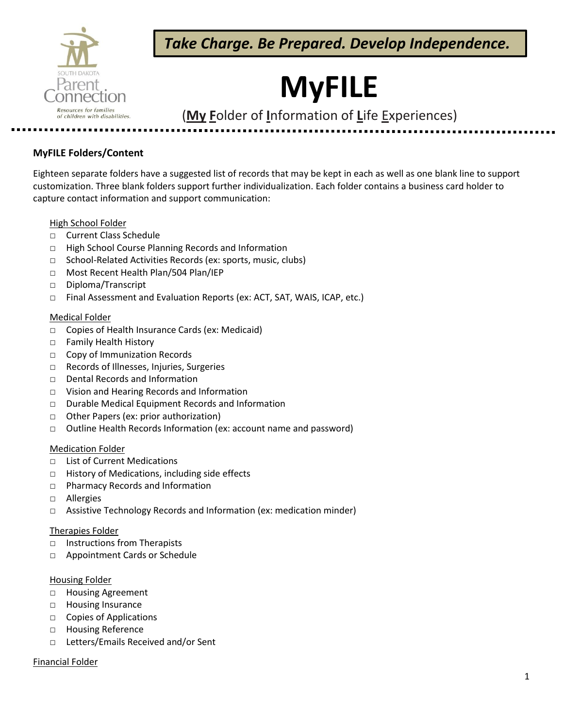

*Take Charge. Be Prepared. Develop Independence.*

# **MyFILE**

Resources for families<br>of children with disabilities. **(My F**older of <u>I</u>nformation of Life Experiences)

## **MyFILE Folders/Content**

Eighteen separate folders have a suggested list of records that may be kept in each as well as one blank line to support customization. Three blank folders support further individualization. Each folder contains a business card holder to capture contact information and support communication:

#### High School Folder

- □ Current Class Schedule
- □ High School Course Planning Records and Information
- □ School-Related Activities Records (ex: sports, music, clubs)
- □ Most Recent Health Plan/504 Plan/IEP
- □ Diploma/Transcript
- □ Final Assessment and Evaluation Reports (ex: ACT, SAT, WAIS, ICAP, etc.)

#### Medical Folder

- □ Copies of Health Insurance Cards (ex: Medicaid)
- □ Family Health History
- □ Copy of Immunization Records
- □ Records of Illnesses, Injuries, Surgeries
- □ Dental Records and Information
- □ Vision and Hearing Records and Information
- □ Durable Medical Equipment Records and Information
- □ Other Papers (ex: prior authorization)
- □ Outline Health Records Information (ex: account name and password)

#### Medication Folder

- □ List of Current Medications
- □ History of Medications, including side effects
- □ Pharmacy Records and Information
- □ Allergies
- □ Assistive Technology Records and Information (ex: medication minder)

#### Therapies Folder

- □ Instructions from Therapists
- □ Appointment Cards or Schedule

#### Housing Folder

- □ Housing Agreement
- □ Housing Insurance
- □ Copies of Applications
- □ Housing Reference
- □ Letters/Emails Received and/or Sent

#### Financial Folder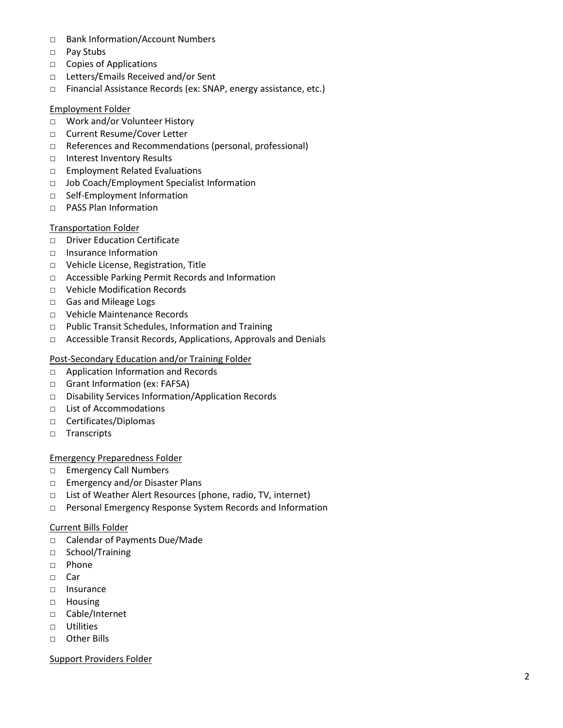- □ Bank Information/Account Numbers
- □ Pay Stubs
- □ Copies of Applications
- □ Letters/Emails Received and/or Sent
- □ Financial Assistance Records (ex: SNAP, energy assistance, etc.)

#### Employment Folder

- □ Work and/or Volunteer History
- □ Current Resume/Cover Letter
- □ References and Recommendations (personal, professional)
- □ Interest Inventory Results
- □ Employment Related Evaluations
- □ Job Coach/Employment Specialist Information
- □ Self-Employment Information
- □ PASS Plan Information

### Transportation Folder

- □ Driver Education Certificate
- □ Insurance Information
- □ Vehicle License, Registration, Title
- □ Accessible Parking Permit Records and Information
- □ Vehicle Modification Records
- □ Gas and Mileage Logs
- □ Vehicle Maintenance Records
- □ Public Transit Schedules, Information and Training
- □ Accessible Transit Records, Applications, Approvals and Denials

#### Post -Secondary Education and/or Training Folder

- □ Application Information and Records
- □ Grant Information (ex: FAFSA)
- □ Disability Services Information/Application Records
- □ List of Accommodations
- □ Certificates/Diplomas
- □ Transcripts

#### Emergency Preparedness Folder

- □ Emergency Call Numbers
- □ Emergency and/or Disaster Plans
- □ List of Weather Alert Resources (phone, radio, TV, internet)
- □ Personal Emergency Response System Records and Information

#### Current Bills Folder

- □ Calendar of Payments Due/Made
- □ School/Training
- □ Phone
- □ Car
- □ Insurance
- □ Housing
- □ Cable/Internet
- □ Utilities
- □ Other Bills

#### Support Providers Folder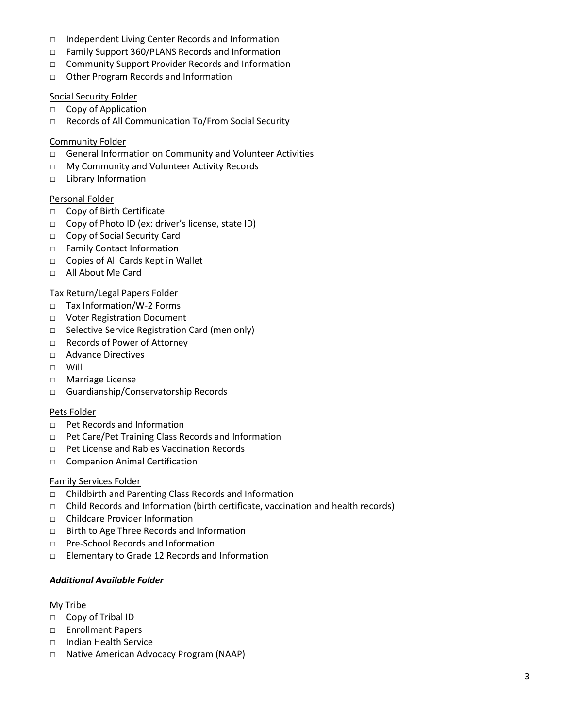- □ Independent Living Center Records and Information
- □ Family Support 360/PLANS Records and Information
- □ Community Support Provider Records and Information
- □ Other Program Records and Information

#### Social Security Folder

- □ Copy of Application
- □ Records of All Communication To/From Social Security

#### Community Folder

- □ General Information on Community and Volunteer Activities
- □ My Community and Volunteer Activity Records
- □ Library Information

#### Personal Folder

- □ Copy of Birth Certificate
- □ Copy of Photo ID (ex: driver's license, state ID)
- □ Copy of Social Security Card
- □ Family Contact Information
- □ Copies of All Cards Kept in Wallet
- □ All About Me Card

### Tax Return/Legal Papers Folder

- □ Tax Information/W-2 Forms
- □ Voter Registration Document
- □ Selective Service Registration Card (men only)
- □ Records of Power of Attorney
- □ Advance Directives
- □ Will
- □ Marriage License
- □ Guardianship/Conservatorship Records

#### Pets Folder

- □ Pet Records and Information
- □ Pet Care/Pet Training Class Records and Information
- □ Pet License and Rabies Vaccination Records
- □ Companion Animal Certification

#### Family Services Folder

- □ Childbirth and Parenting Class Records and Information
- $\Box$  Child Records and Information (birth certificate, vaccination and health records)
- □ Childcare Provider Information
- □ Birth to Age Three Records and Information
- □ Pre-School Records and Information
- □ Elementary to Grade 12 Records and Information

## *Additional Available Folder*

#### My Tribe

- □ Copy of Tribal ID
- □ Enrollment Papers
- □ Indian Health Service
- □ Native American Advocacy Program (NAAP)